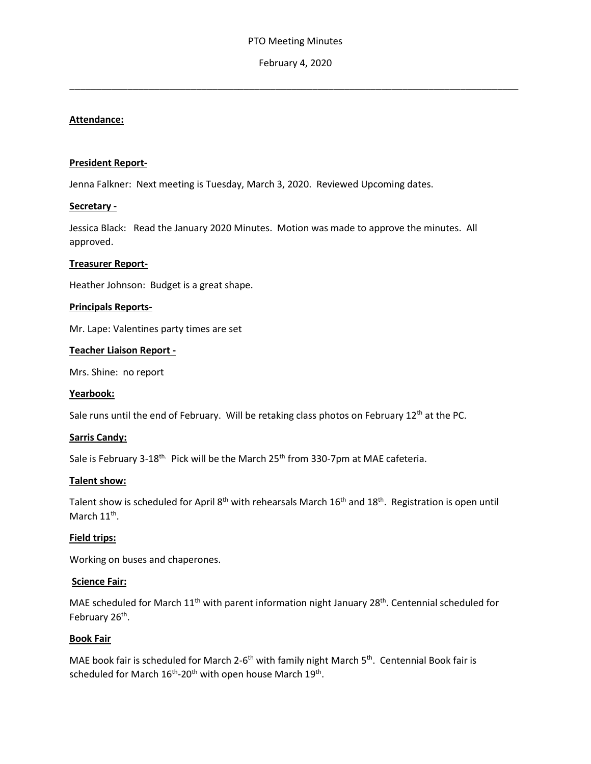## February 4, 2020

\_\_\_\_\_\_\_\_\_\_\_\_\_\_\_\_\_\_\_\_\_\_\_\_\_\_\_\_\_\_\_\_\_\_\_\_\_\_\_\_\_\_\_\_\_\_\_\_\_\_\_\_\_\_\_\_\_\_\_\_\_\_\_\_\_\_\_\_\_\_\_\_\_\_\_\_\_\_\_\_\_\_\_\_\_

## **Attendance:**

#### **President Report-**

Jenna Falkner: Next meeting is Tuesday, March 3, 2020. Reviewed Upcoming dates.

## **Secretary -**

Jessica Black: Read the January 2020 Minutes. Motion was made to approve the minutes. All approved.

### **Treasurer Report-**

Heather Johnson: Budget is a great shape.

### **Principals Reports-**

Mr. Lape: Valentines party times are set

### **Teacher Liaison Report -**

Mrs. Shine: no report

#### **Yearbook:**

Sale runs until the end of February. Will be retaking class photos on February 12<sup>th</sup> at the PC.

#### **Sarris Candy:**

Sale is February 3-18<sup>th.</sup> Pick will be the March 25<sup>th</sup> from 330-7pm at MAE cafeteria.

#### **Talent show:**

Talent show is scheduled for April 8<sup>th</sup> with rehearsals March 16<sup>th</sup> and 18<sup>th</sup>. Registration is open until March  $11^{\text{th}}$ .

## **Field trips:**

Working on buses and chaperones.

#### **Science Fair:**

MAE scheduled for March 11<sup>th</sup> with parent information night January 28<sup>th</sup>. Centennial scheduled for February 26<sup>th</sup>.

## **Book Fair**

MAE book fair is scheduled for March 2-6<sup>th</sup> with family night March 5<sup>th</sup>. Centennial Book fair is scheduled for March  $16^{th}$ -20<sup>th</sup> with open house March  $19^{th}$ .